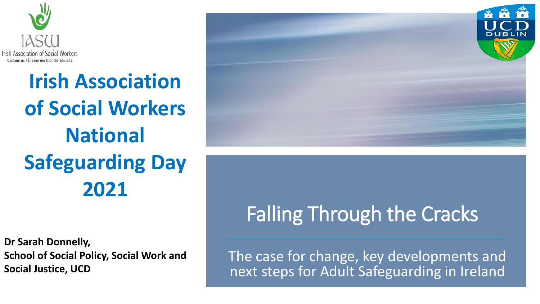

**Irish Association of Social Workers National Safeguarding Day 2021**

**Dr Sarah Donnelly, School of Social Policy, Social Work and Social Justice, UCD** 



## Falling Through the Cracks

The case for change, key developments and next steps for Adult Safeguarding in Ireland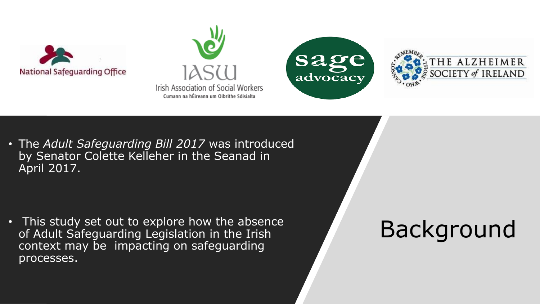







• The *Adult Safeguarding Bill 2017* was introduced by Senator Colette Kelleher in the Seanad in April 2017.

• This study set out to explore how the absence of Adult Safeguarding Legislation in the Irish context may be impacting on safeguarding processes.

# Background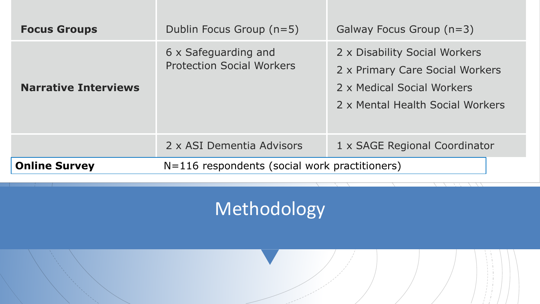| <b>Focus Groups</b>         | Dublin Focus Group $(n=5)$                               | Galway Focus Group (n=3)                                                                                                           |
|-----------------------------|----------------------------------------------------------|------------------------------------------------------------------------------------------------------------------------------------|
| <b>Narrative Interviews</b> | 6 x Safeguarding and<br><b>Protection Social Workers</b> | 2 x Disability Social Workers<br>2 x Primary Care Social Workers<br>2 x Medical Social Workers<br>2 x Mental Health Social Workers |
|                             | 2 x ASI Dementia Advisors                                | 1 x SAGE Regional Coordinator                                                                                                      |
| <b>Online Survey</b>        | $N=116$ respondents (social work practitioners)          |                                                                                                                                    |

Methodology

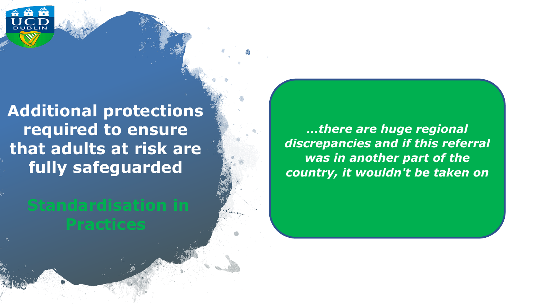

*…there are huge regional discrepancies and if this referral was in another part of the country, it wouldn't be taken on*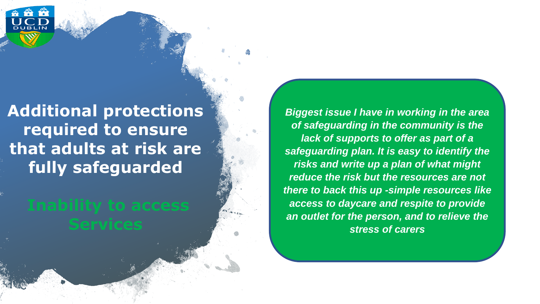![](_page_4_Picture_0.jpeg)

# **Services**

*Biggest issue I have in working in the area of safeguarding in the community is the lack of supports to offer as part of a safeguarding plan. It is easy to identify the risks and write up a plan of what might reduce the risk but the resources are not there to back this up -simple resources like access to daycare and respite to provide an outlet for the person, and to relieve the stress of carers*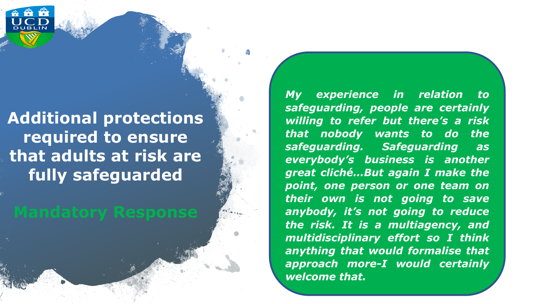![](_page_5_Picture_0.jpeg)

*My experience in relation to safeguarding, people are certainly willing to refer but there's a risk that nobody wants to do the safeguarding. Safeguarding as everybody's business is another great cliché…But again I make the point, one person or one team on their own is not going to save anybody, it's not going to reduce the risk. It is a multiagency, and multidisciplinary effort so I think anything that would formalise that approach more-I would certainly welcome that.*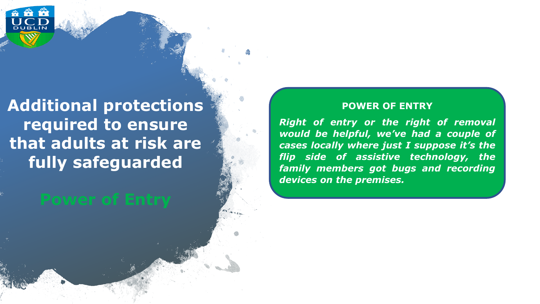![](_page_6_Picture_0.jpeg)

#### **POWER OF ENTRY**

*Right of entry or the right of removal would be helpful, we've had a couple of cases locally where just I suppose it's the flip side of assistive technology, the family members got bugs and recording devices on the premises.*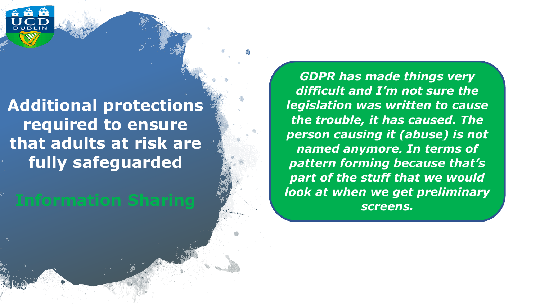![](_page_7_Picture_0.jpeg)

*GDPR has made things very difficult and I'm not sure the legislation was written to cause the trouble, it has caused. The person causing it (abuse) is not named anymore. In terms of pattern forming because that's part of the stuff that we would look at when we get preliminary screens.*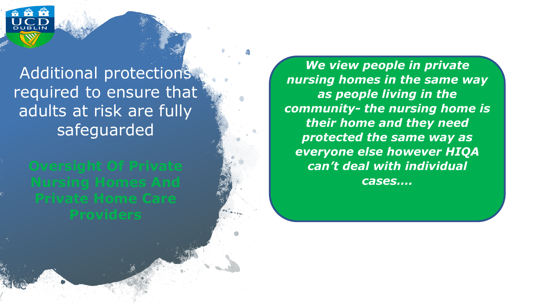![](_page_8_Picture_0.jpeg)

*We view people in private nursing homes in the same way as people living in the community- the nursing home is their home and they need protected the same way as everyone else however HIQA can't deal with individual cases….*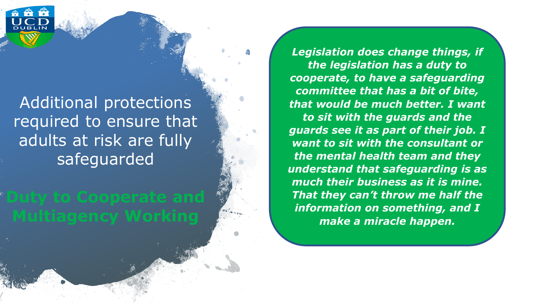![](_page_9_Picture_0.jpeg)

**Multiagency Working**

*Legislation does change things, if the legislation has a duty to cooperate, to have a safeguarding committee that has a bit of bite, that would be much better. I want to sit with the guards and the guards see it as part of their job. I want to sit with the consultant or the mental health team and they understand that safeguarding is as much their business as it is mine. That they can't throw me half the information on something, and I make a miracle happen.*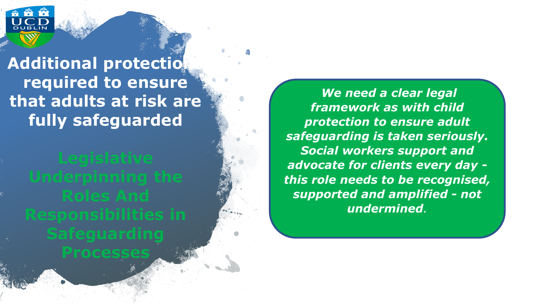![](_page_10_Picture_0.jpeg)

> **Safeguarding Processes**

*We need a clear legal framework as with child protection to ensure adult safeguarding is taken seriously. Social workers support and advocate for clients every day this role needs to be recognised, supported and amplified - not undermined.*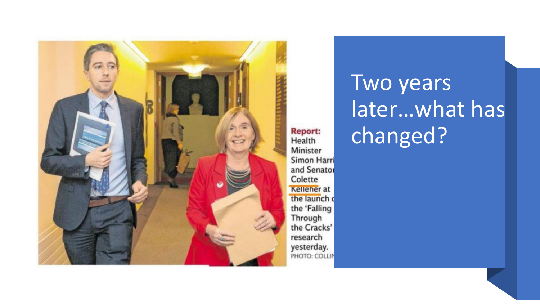![](_page_11_Picture_0.jpeg)

Two years later…what has changed?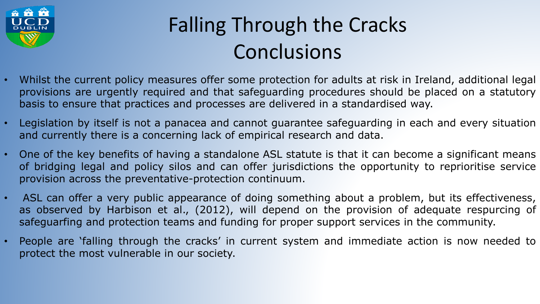![](_page_12_Picture_0.jpeg)

# Falling Through the Cracks Conclusions

- Whilst the current policy measures offer some protection for adults at risk in Ireland, additional legal provisions are urgently required and that safeguarding procedures should be placed on a statutory basis to ensure that practices and processes are delivered in a standardised way.
- Legislation by itself is not a panacea and cannot guarantee safeguarding in each and every situation and currently there is a concerning lack of empirical research and data.
- One of the key benefits of having a standalone ASL statute is that it can become a significant means of bridging legal and policy silos and can offer jurisdictions the opportunity to reprioritise service provision across the preventative-protection continuum.
- ASL can offer a very public appearance of doing something about a problem, but its effectiveness, as observed by Harbison et al., (2012), will depend on the provision of adequate respurcing of safeguarfing and protection teams and funding for proper support services in the community.
- People are 'falling through the cracks' in current system and immediate action is now needed to protect the most vulnerable in our society.